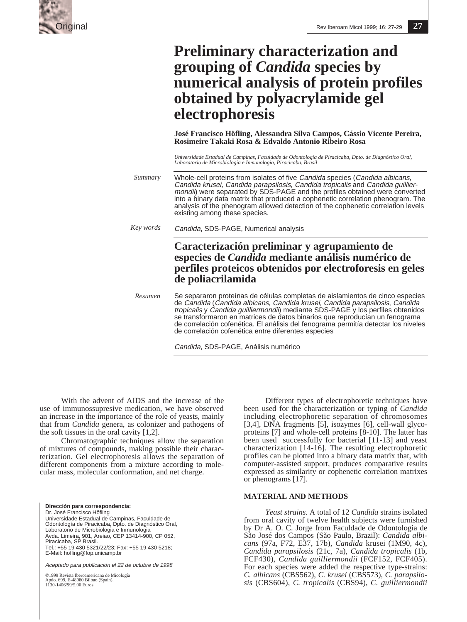

# **Preliminary characterization and grouping of** *Candida* **species by numerical analysis of protein profiles obtained by polyacrylamide gel electrophoresis**

**José Francisco Höfling, Alessandra Silva Campos, Cássio Vicente Pereira, Rosimeire Takaki Rosa & Edvaldo Antonio Ribeiro Rosa**

*Universidade Estadual de Campinas, Faculdade de Odontología de Piracicaba, Dpto. de Diagnóstico Oral, Laboratorio de Microbiologia e Inmunologia, Piracicaba, Brasil*

Whole-cell proteins from isolates of five Candida species (Candida albicans, Candida krusei, Candida parapsilosis, Candida tropicalis and Candida guilliermondii) were separated by SDS-PAGE and the profiles obtained were converted into a binary data matrix that produced a cophenetic correlation phenogram. The analysis of the phenogram allowed detection of the cophenetic correlation levels existing among these species. *Summary*

Candida, SDS-PAGE, Numerical analysis *Key words*

## **Caracterización preliminar y agrupamiento de especies de** *Candida* **mediante análisis numérico de perfiles proteicos obtenidos por electroforesis en geles de poliacrilamida**

Se separaron proteínas de células completas de aislamientos de cinco especies de Candida (Candida albicans, Candida krusei, Candida parapsilosis, Candida tropicalis y Candida guilliermondii) mediante SDS-PAGE y los perfiles obtenidos se transformaron en matrices de datos binarios que reproducían un fenograma de correlación cofenética. El análisis del fenograma permitía detectar los niveles de correlación cofenética entre diferentes especies *Resumen*

Candida, SDS-PAGE, Análisis numérico

With the advent of AIDS and the increase of the use of immunossupresive medication, we have observed an increase in the importance of the role of yeasts, mainly that from *Candida* genera, as colonizer and pathogens of the soft tissues in the oral cavity [1,2].

Chromatographic techniques allow the separation of mixtures of compounds, making possible their characterization. Gel electrophoresis allows the separation of different components from a mixture according to molecular mass, molecular conformation, and net charge.

**Dirección para correspondencia:** Dr. José Francisco Höfling Universidade Estadual de Campinas, Faculdade de Odontología de Piracicaba, Dpto. de Diagnóstico Oral, Laboratorio de Microbiologia e Inmunologia Avda. Limeira, 901, Areiao, CEP 13414-900, CP 052, Piracicaba, SP Brasil. Tel.: +55 19 430 5321/22/23; Fax: +55 19 430 5218; E-Mail: hofling@fop.unicamp.br

Aceptado para publicación el 22 de octubre de 1998

©1999 Revista Iberoamericana de Micología Apdo. 699, E-48080 Bilbao (Spain). Apao. 099, E-40000 D110<br>1130-1406/99/5.00 Euros

Different types of electrophoretic techniques have been used for the characterization or typing of *Candida* including electrophoretic separation of chromosomes [3,4], DNA fragments [5], isozymes [6], cell-wall glycoproteins [7] and whole-cell proteins [8-10]. The latter has been used successfully for bacterial [11-13] and yeast characterization [14-16]. The resulting electrophoretic profiles can be plotted into a binary data matrix that, with computer-assisted support, produces comparative results expressed as similarity or cophenetic correlation matrixes or phenograms [17].

### **MATERIAL AND METHODS**

*Yeast strains.* A total of 12 *Candida* strains isolated from oral cavity of twelve health subjects were furnished by Dr A. O. C. Jorge from Faculdade de Odontologia de São José dos Campos (São Paulo, Brazil): *Candida albicans* (97a, F72, E37, 17b), *Candida* krusei (1M90, 4c), *Candida parapsilosis* (21c, 7a), *Candida tropicalis* (1b, FCF430), *Candida guilliermondii* (FCF152, FCF405). For each species were added the respective type-strains: *C. albicans* (CBS562), *C. krusei* (CBS573), *C. parapsilosis* (CBS604), *C. tropicalis* (CBS94), *C. guilliermondii*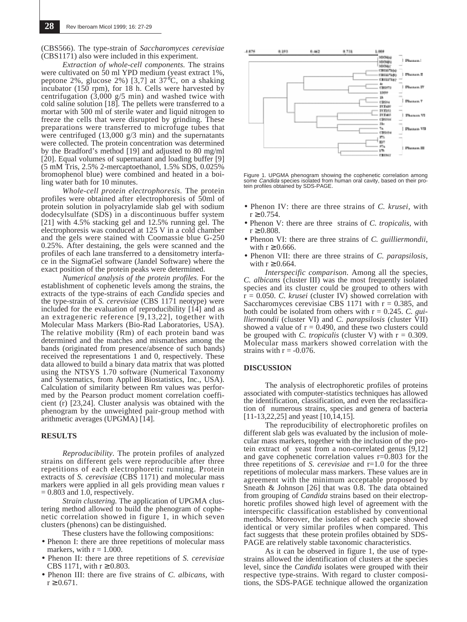(CBS566). The type-strain of *Saccharomyces cerevisiae* (CBS1171) also were included in this experiment.

*Extraction of whole-cell components.* The strains were cultivated on 50 ml YPD medium (yeast extract 1%, peptone 2%, glucose 2%) [3,7] at 37°C, on a shaking incubator (150 rpm), for 18 h. Cells were harvested by centrifugation  $(3,000 \text{ g/s min})$  and washed twice with cold saline solution [18]. The pellets were transferred to a mortar with 500 ml of sterile water and liquid nitrogen to freeze the cells that were disrupted by grinding. These preparations were transferred to microfuge tubes that were centrifuged (13,000 g/3 min) and the supernatants were collected. The protein concentration was determined by the Bradford's method [19] and adjusted to 80 mg/ml [20]. Equal volumes of supernatant and loading buffer [9] (5 mM Tris, 2.5% 2-mercaptoethanol, 1.5% SDS, 0.025% bromophenol blue) were combined and heated in a boiling water bath for 10 minutes.

*Whole-cell protein electrophoresis*. The protein profiles were obtained after electrophoresis of 50ml of protein solution in polyacrylamide slab gel with sodium dodecylsulfate (SDS) in a discontinuous buffer system [21] with 4.5% stacking gel and 12.5% running gel. The electrophoresis was conduced at 125 V in a cold chamber and the gels were stained with Coomassie blue G-250 0.25%. After destaining, the gels were scanned and the profiles of each lane transferred to a densitometry interface in the SigmaGel software (Jandel Software) where the exact position of the protein peaks were determined.

*Numerical analysis of the protein profiles.* For the establishment of cophenetic levels among the strains, the extracts of the type-strains of each *Candida* species and the type-strain of *S. cerevisiae* (CBS 1171 neotype) were included for the evaluation of reproducibility [14] and as an extrageneric reference [9,13,22], together with Molecular Mass Markers (Bio-Rad Laboratories, USA). The relative mobility (Rm) of each protein band was determined and the matches and mismatches among the bands (originated from presence/absence of such bands) received the representations 1 and 0, respectively. These data allowed to build a binary data matrix that was plotted using the NTSYS 1.70 software (Numerical Taxonomy and Systematics, from Applied Biostatistics, Inc., USA). Calculation of similarity between Rm values was performed by the Pearson product moment correlation coefficient (r) [23,24]. Cluster analysis was obtained with the phenogram by the unweighted pair-group method with arithmetic averages (UPGMA) [14].

#### **RESULTS**

*Reproducibility.* The protein profiles of analyzed strains on different gels were reproducible after three repetitions of each electrophoretic running. Protein extracts of *S. cerevisiae* (CBS 1171) and molecular mass markers were applied in all gels providing mean values r  $= 0.803$  and 1.0, respectively.

*Strain clustering.* The application of UPGMA clustering method allowed to build the phenogram of cophenetic correlation showed in figure 1, in which seven clusters (phenons) can be distinguished.

These clusters have the following compositions:

- Phenon I: there are three repetitions of molecular mass markers, with  $r = 1.000$ .
- Phenon II: there are three repetitions of *S. cerevisiae* CBS 1171, with  $r \ge 0.803$ .
- Phenon III: there are five strains of *C. albicans*, with  $r \ge 0.671$ .



Figure 1. UPGMA phenogram showing the cophenetic correlation among<br>some *Candida* species isolated from human oral cavity, based on their protein profiles obtained by SDS-PAGE.

- Phenon IV: there are three strains of *C. krusei,* with  $r \ge 0.754$ .
- Phenon V: there are three strains of *C. tropicalis*, with  $r \ge 0.808$ .
- Phenon VI: there are three strains of *C. guilliermondii,* with  $r \geq 0.666$ .
- Phenon VII: there are three strains of *C. parapsilosis*, with  $r \geq 0.664$ .

*Interspecific comparison*. Among all the species, *C. albicans* (cluster III) was the most frequently isolated species and its cluster could be grouped to others with r = 0.050. *C. krusei* (cluster IV) showed correlation with Saccharomyces cerevisiae CBS 1171 with  $r = 0.385$ , and both could be isolated from others with r = 0.245. *C. guilliermondii* (cluster VI) and *C. parapsilosis* (cluster VII) showed a value of  $r = 0.490$ , and these two clusters could be grouped with *C. tropicalis* (cluster V) with  $r = 0.309$ . Molecular mass markers showed correlation with the strains with  $r = -0.076$ .

#### **DISCUSSION**

The analysis of electrophoretic profiles of proteins associated with computer-statistics techniques has allowed the identification, classification, and even the reclassification of numerous strains, species and genera of bacteria [11-13,22,25] and yeast [10,14,15].

The reproducibility of electrophoretic profiles on different slab gels was evaluated by the inclusion of molecular mass markers, together with the inclusion of the protein extract of yeast from a non-correlated genus [9,12] and gave cophenetic correlation values r=0.803 for the three repetitions of *S. cerevisiae* and r=1.0 for the three repetitions of molecular mass markers. These values are in agreement with the minimum acceptable proposed by Sneath & Johnson [26] that was 0.8. The data obtained from grouping of *Candida* strains based on their electrophoretic profiles showed high level of agreement with the interspecific classification established by conventional methods. Moreover, the isolates of each specie showed identical or very similar profiles when compared. This fact suggests that these protein profiles obtained by SDS-PAGE are relatively stable taxonomic characteristics.

As it can be observed in figure 1, the use of typestrains allowed the identification of clusters at the species level, since the *Candida* isolates were grouped with their respective type-strains. With regard to cluster compositions, the SDS-PAGE technique allowed the organization